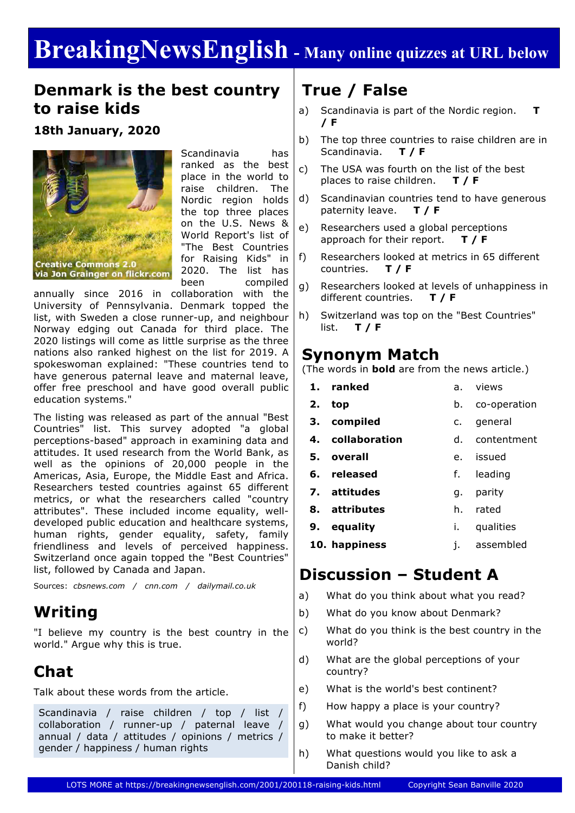# **BreakingNewsEnglish - Many online quizzes at URL below**

### **Denmark is the best country to raise kids**

### **18th January, 2020**



Scandinavia has ranked as the best place in the world to raise children. The Nordic region holds the top three places on the U.S. News & World Report's list of "The Best Countries for Raising Kids" in 2020. The list has been compiled

annually since 2016 in collaboration with the University of Pennsylvania. Denmark topped the list, with Sweden a close runner-up, and neighbour Norway edging out Canada for third place. The 2020 listings will come as little surprise as the three nations also ranked highest on the list for 2019. A spokeswoman explained: "These countries tend to have generous paternal leave and maternal leave, offer free preschool and have good overall public education systems."

The listing was released as part of the annual "Best Countries" list. This survey adopted "a global perceptions-based" approach in examining data and attitudes. It used research from the World Bank, as well as the opinions of 20,000 people in the Americas, Asia, Europe, the Middle East and Africa. Researchers tested countries against 65 different metrics, or what the researchers called "country attributes". These included income equality, welldeveloped public education and healthcare systems, human rights, gender equality, safety, family friendliness and levels of perceived happiness. Switzerland once again topped the "Best Countries" list, followed by Canada and Japan.

Sources: *cbsnews.com / cnn.com / dailymail.co.uk*

## **Writing**

"I believe my country is the best country in the world." Argue why this is true.

# **Chat**

Talk about these words from the article.

Scandinavia / raise children / top / list / collaboration / runner-up / paternal leave / annual / data / attitudes / opinions / metrics / gender / happiness / human rights

# **True / False**

- a) Scandinavia is part of the Nordic region. **T / F**
- b) The top three countries to raise children are in Scandinavia. **T / F**
- c) The USA was fourth on the list of the best places to raise children. **T / F**
- d) Scandinavian countries tend to have generous paternity leave. **T / F**
- e) Researchers used a global perceptions approach for their report. **T / F**
- f) Researchers looked at metrics in 65 different countries. **T / F**
- g) Researchers looked at levels of unhappiness in different countries. **T / F**
- h) Switzerland was top on the "Best Countries" list. **T / F**

### **Synonym Match**

(The words in **bold** are from the news article.)

- **1. ranked 2. top 3. compiled 4. collaboration 5. overall 6. released 7. attitudes 8. attributes 9. equality** a. views b. co-operation c. general d. contentment e. issued f. leading g. parity h. rated i. qualities
	-
	- **10. happiness** j. assembled

### **Discussion – Student A**

- a) What do you think about what you read?
- b) What do you know about Denmark?
- c) What do you think is the best country in the world?
- d) What are the global perceptions of your country?
- e) What is the world's best continent?
- f) How happy a place is your country?
- g) What would you change about tour country to make it better?
- h) What questions would you like to ask a Danish child?